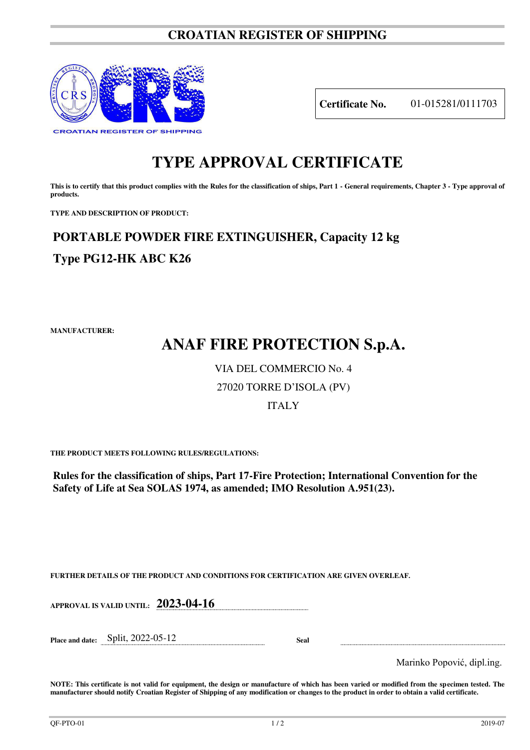### **CROATIAN REGISTER OF SHIPPING**



**Certificate No.** 01-015281/0111703

### **TYPE APPROVAL CERTIFICATE**

This is to certify that this product complies with the Rules for the classification of ships, Part 1 - General requirements, Chapter 3 - Type approval of **products.** 

**TYPE AND DESCRIPTION OF PRODUCT:** 

## **PORTABLE POWDER FIRE EXTINGUISHER, Capacity 12 kg Type PG12-HK ABC K26**

**MANUFACTURER:**

# **ANAF FIRE PROTECTION S.p.A.**

### VIA DEL COMMERCIO No. 4

### 27020 TORRE D'ISOLA (PV)

#### ITALY

**THE PRODUCT MEETS FOLLOWING RULES/REGULATIONS:**

**Rules for the classification of ships, Part 17-Fire Protection; International Convention for the Safety of Life at Sea SOLAS 1974, as amended; IMO Resolution A.951(23).**

**FURTHER DETAILS OF THE PRODUCT AND CONDITIONS FOR CERTIFICATION ARE GIVEN OVERLEAF.**

**APPROVAL IS VALID UNTIL: 2023-04-16**

**Place and date:** Split, 2022-05-12 **Seal** 

Marinko Popović, dipl.ing.

**NOTE: This certificate is not valid for equipment, the design or manufacture of which has been varied or modified from the specimen tested. The manufacturer should notify Croatian Register of Shipping of any modification or changes to the product in order to obtain a valid certificate.**